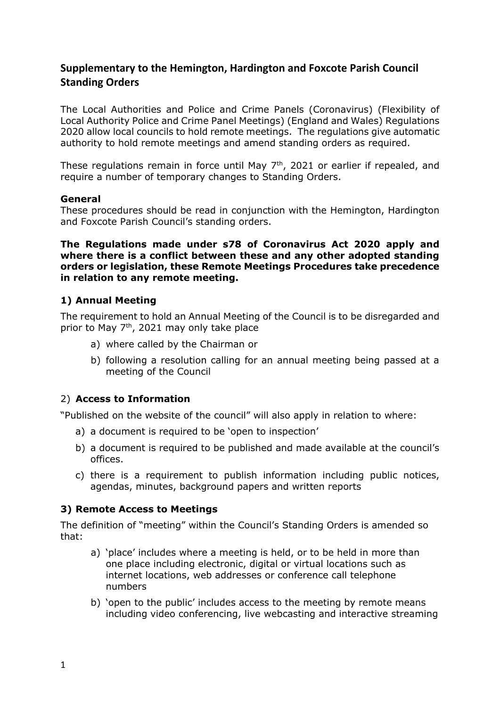# **Supplementary to the Hemington, Hardington and Foxcote Parish Council Standing Orders**

The Local Authorities and Police and Crime Panels (Coronavirus) (Flexibility of Local Authority Police and Crime Panel Meetings) (England and Wales) Regulations 2020 allow local councils to hold remote meetings. The regulations give automatic authority to hold remote meetings and amend standing orders as required.

These regulations remain in force until May 7<sup>th</sup>, 2021 or earlier if repealed, and require a number of temporary changes to Standing Orders.

#### **General**

These procedures should be read in conjunction with the Hemington, Hardington and Foxcote Parish Council's standing orders.

**The Regulations made under s78 of Coronavirus Act 2020 apply and where there is a conflict between these and any other adopted standing orders or legislation, these Remote Meetings Procedures take precedence in relation to any remote meeting.** 

#### **1) Annual Meeting**

The requirement to hold an Annual Meeting of the Council is to be disregarded and prior to May 7<sup>th</sup>, 2021 may only take place

- a) where called by the Chairman or
- b) following a resolution calling for an annual meeting being passed at a meeting of the Council

#### 2) **Access to Information**

"Published on the website of the council" will also apply in relation to where:

- a) a document is required to be 'open to inspection'
- b) a document is required to be published and made available at the council's offices.
- c) there is a requirement to publish information including public notices, agendas, minutes, background papers and written reports

#### **3) Remote Access to Meetings**

The definition of "meeting" within the Council's Standing Orders is amended so that:

- a) 'place' includes where a meeting is held, or to be held in more than one place including electronic, digital or virtual locations such as internet locations, web addresses or conference call telephone numbers
- b) 'open to the public' includes access to the meeting by remote means including video conferencing, live webcasting and interactive streaming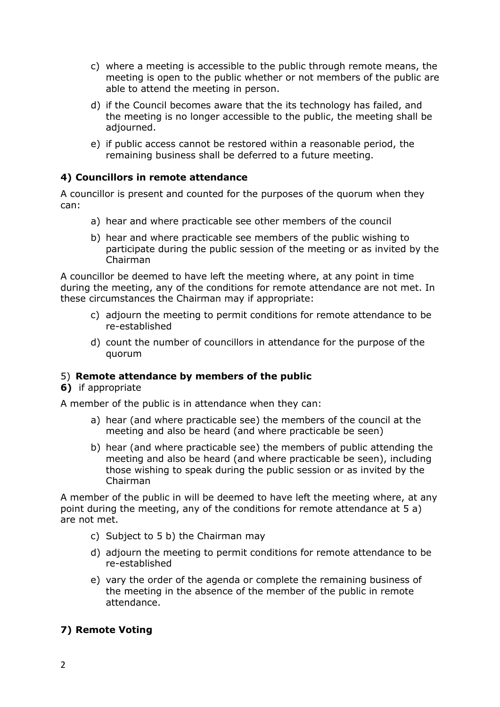- c) where a meeting is accessible to the public through remote means, the meeting is open to the public whether or not members of the public are able to attend the meeting in person.
- d) if the Council becomes aware that the its technology has failed, and the meeting is no longer accessible to the public, the meeting shall be adjourned.
- e) if public access cannot be restored within a reasonable period, the remaining business shall be deferred to a future meeting.

## **4) Councillors in remote attendance**

A councillor is present and counted for the purposes of the quorum when they can:

- a) hear and where practicable see other members of the council
- b) hear and where practicable see members of the public wishing to participate during the public session of the meeting or as invited by the Chairman

A councillor be deemed to have left the meeting where, at any point in time during the meeting, any of the conditions for remote attendance are not met. In these circumstances the Chairman may if appropriate:

- c) adjourn the meeting to permit conditions for remote attendance to be re-established
- d) count the number of councillors in attendance for the purpose of the quorum

#### 5) **Remote attendance by members of the public**

#### **6)** if appropriate

A member of the public is in attendance when they can:

- a) hear (and where practicable see) the members of the council at the meeting and also be heard (and where practicable be seen)
- b) hear (and where practicable see) the members of public attending the meeting and also be heard (and where practicable be seen), including those wishing to speak during the public session or as invited by the Chairman

A member of the public in will be deemed to have left the meeting where, at any point during the meeting, any of the conditions for remote attendance at 5 a) are not met.

- c) Subject to 5 b) the Chairman may
- d) adjourn the meeting to permit conditions for remote attendance to be re-established
- e) vary the order of the agenda or complete the remaining business of the meeting in the absence of the member of the public in remote attendance.

# **7) Remote Voting**